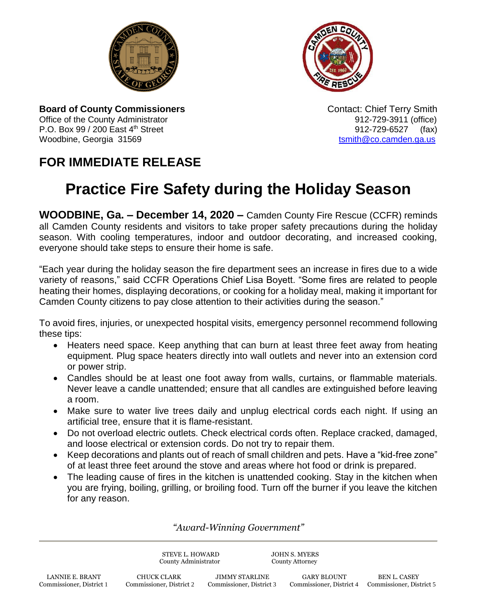



**Board of County Commissioners Contact: Chief Terry Smith Contact: Chief Terry Smith** Office of the County Administrator **912-729-3911** (office) P.O. Box 99 / 200 East 4<sup>th</sup> Street 912-729-6527 (fax) Woodbine, Georgia 31569 to the control of the control of the control of the control of the control of the control of the control of the control of the control of the control of the control of the control of the control of

## **FOR IMMEDIATE RELEASE**

## **Practice Fire Safety during the Holiday Season**

**WOODBINE, Ga. – December 14, 2020 –** Camden County Fire Rescue (CCFR) reminds all Camden County residents and visitors to take proper safety precautions during the holiday season. With cooling temperatures, indoor and outdoor decorating, and increased cooking, everyone should take steps to ensure their home is safe.

"Each year during the holiday season the fire department sees an increase in fires due to a wide variety of reasons," said CCFR Operations Chief Lisa Boyett. "Some fires are related to people heating their homes, displaying decorations, or cooking for a holiday meal, making it important for Camden County citizens to pay close attention to their activities during the season."

To avoid fires, injuries, or unexpected hospital visits, emergency personnel recommend following these tips:

- Heaters need space. Keep anything that can burn at least three feet away from heating equipment. Plug space heaters directly into wall outlets and never into an extension cord or power strip.
- Candles should be at least one foot away from walls, curtains, or flammable materials. Never leave a candle unattended; ensure that all candles are extinguished before leaving a room.
- Make sure to water live trees daily and unplug electrical cords each night. If using an artificial tree, ensure that it is flame-resistant.
- Do not overload electric outlets. Check electrical cords often. Replace cracked, damaged, and loose electrical or extension cords. Do not try to repair them.
- Keep decorations and plants out of reach of small children and pets. Have a "kid-free zone" of at least three feet around the stove and areas where hot food or drink is prepared.
- The leading cause of fires in the kitchen is unattended cooking. Stay in the kitchen when you are frying, boiling, grilling, or broiling food. Turn off the burner if you leave the kitchen for any reason.

*"Award-Winning Government"*

STEVE L. HOWARD JOHN S. MYERS County Administrator County Attorney

LANNIE E. BRANT CHUCK CLARK JIMMY STARLINE GARY BLOUNT BEN L. CASEY<br>2 Commissioner, District 1 Commissioner, District 2 Commissioner, District 3 Commissioner, District 4 Commissioner, Dist Commissioner, District 1 Commissioner, District 2 Commissioner, District 3 Commissioner, District 4 Commissioner, District 5